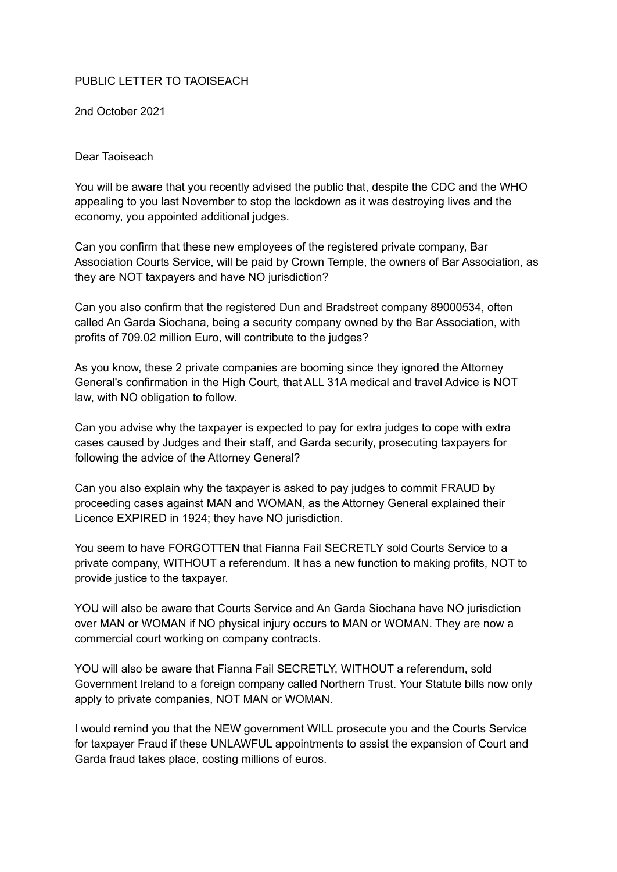## PUBLIC LETTER TO TAOISEACH

2nd October 2021

## Dear Taoiseach

You will be aware that you recently advised the public that, despite the CDC and the WHO appealing to you last November to stop the lockdown as it was destroying lives and the economy, you appointed additional judges.

Can you confirm that these new employees of the registered private company, Bar Association Courts Service, will be paid by Crown Temple, the owners of Bar Association, as they are NOT taxpayers and have NO jurisdiction?

Can you also confirm that the registered Dun and Bradstreet company 89000534, often called An Garda Siochana, being a security company owned by the Bar Association, with profits of 709.02 million Euro, will contribute to the judges?

As you know, these 2 private companies are booming since they ignored the Attorney General's confirmation in the High Court, that ALL 31A medical and travel Advice is NOT law, with NO obligation to follow.

Can you advise why the taxpayer is expected to pay for extra judges to cope with extra cases caused by Judges and their staff, and Garda security, prosecuting taxpayers for following the advice of the Attorney General?

Can you also explain why the taxpayer is asked to pay judges to commit FRAUD by proceeding cases against MAN and WOMAN, as the Attorney General explained their Licence EXPIRED in 1924; they have NO jurisdiction.

You seem to have FORGOTTEN that Fianna Fail SECRETLY sold Courts Service to a private company, WITHOUT a referendum. It has a new function to making profits, NOT to provide justice to the taxpayer.

YOU will also be aware that Courts Service and An Garda Siochana have NO jurisdiction over MAN or WOMAN if NO physical injury occurs to MAN or WOMAN. They are now a commercial court working on company contracts.

YOU will also be aware that Fianna Fail SECRETLY, WITHOUT a referendum, sold Government Ireland to a foreign company called Northern Trust. Your Statute bills now only apply to private companies, NOT MAN or WOMAN.

I would remind you that the NEW government WILL prosecute you and the Courts Service for taxpayer Fraud if these UNLAWFUL appointments to assist the expansion of Court and Garda fraud takes place, costing millions of euros.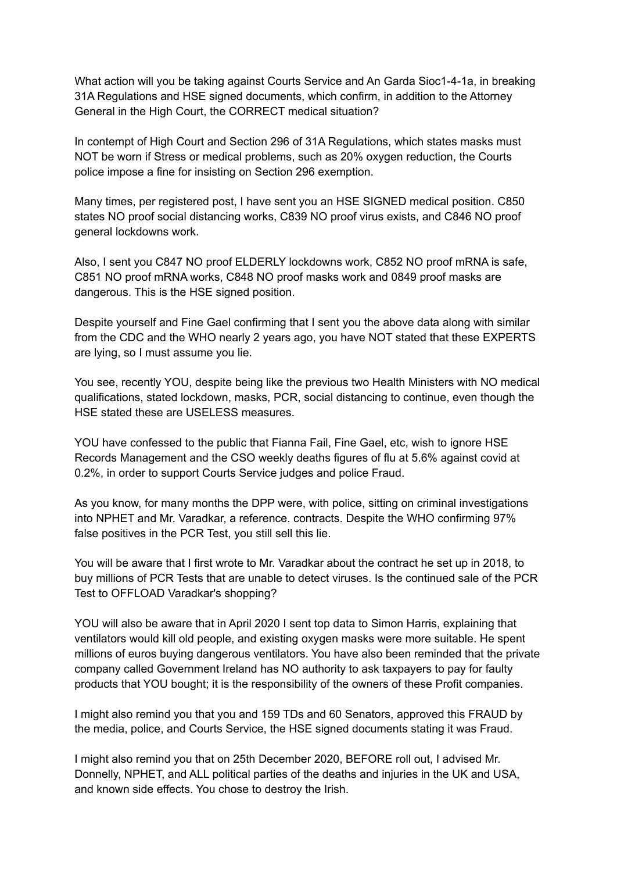What action will you be taking against Courts Service and An Garda Sioc1-4-1a, in breaking 31A Regulations and HSE signed documents, which confirm, in addition to the Attorney General in the High Court, the CORRECT medical situation?

In contempt of High Court and Section 296 of 31A Regulations, which states masks must NOT be worn if Stress or medical problems, such as 20% oxygen reduction, the Courts police impose a fine for insisting on Section 296 exemption.

Many times, per registered post, I have sent you an HSE SIGNED medical position. C850 states NO proof social distancing works, C839 NO proof virus exists, and C846 NO proof general lockdowns work.

Also, I sent you C847 NO proof ELDERLY lockdowns work, C852 NO proof mRNA is safe, C851 NO proof mRNA works, C848 NO proof masks work and 0849 proof masks are dangerous. This is the HSE signed position.

Despite yourself and Fine Gael confirming that I sent you the above data along with similar from the CDC and the WHO nearly 2 years ago, you have NOT stated that these EXPERTS are lying, so I must assume you lie.

You see, recently YOU, despite being like the previous two Health Ministers with NO medical qualifications, stated lockdown, masks, PCR, social distancing to continue, even though the HSE stated these are USELESS measures.

YOU have confessed to the public that Fianna Fail, Fine Gael, etc, wish to ignore HSE Records Management and the CSO weekly deaths figures of flu at 5.6% against covid at 0.2%, in order to support Courts Service judges and police Fraud.

As you know, for many months the DPP were, with police, sitting on criminal investigations into NPHET and Mr. Varadkar, a reference. contracts. Despite the WHO confirming 97% false positives in the PCR Test, you still sell this lie.

You will be aware that I first wrote to Mr. Varadkar about the contract he set up in 2018, to buy millions of PCR Tests that are unable to detect viruses. Is the continued sale of the PCR Test to OFFLOAD Varadkar's shopping?

YOU will also be aware that in April 2020 I sent top data to Simon Harris, explaining that ventilators would kill old people, and existing oxygen masks were more suitable. He spent millions of euros buying dangerous ventilators. You have also been reminded that the private company called Government Ireland has NO authority to ask taxpayers to pay for faulty products that YOU bought; it is the responsibility of the owners of these Profit companies.

I might also remind you that you and 159 TDs and 60 Senators, approved this FRAUD by the media, police, and Courts Service, the HSE signed documents stating it was Fraud.

I might also remind you that on 25th December 2020, BEFORE roll out, I advised Mr. Donnelly, NPHET, and ALL political parties of the deaths and injuries in the UK and USA, and known side effects. You chose to destroy the Irish.